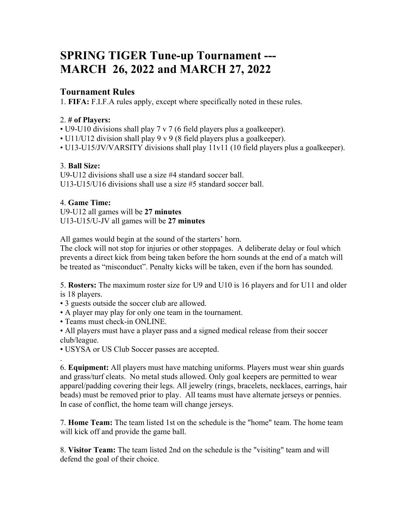# **SPRING TIGER Tune-up Tournament --- MARCH 26, 2022 and MARCH 27, 2022**

## **Tournament Rules**

1. **FIFA:** F.I.F.A rules apply, except where specifically noted in these rules.

## 2. **# of Players:**

• U9-U10 divisions shall play 7 v 7 (6 field players plus a goalkeeper).

- U11/U12 division shall play 9 v 9 (8 field players plus a goalkeeper).
- U13-U15/JV/VARSITY divisions shall play 11v11 (10 field players plus a goalkeeper).

## 3. **Ball Size:**

U9-U12 divisions shall use a size #4 standard soccer ball. U13-U15/U16 divisions shall use a size #5 standard soccer ball.

## 4. **Game Time:**

.

U9-U12 all games will be **27 minutes** U13-U15/U-JV all games will be **27 minutes**

All games would begin at the sound of the starters' horn.

The clock will not stop for injuries or other stoppages. A deliberate delay or foul which prevents a direct kick from being taken before the horn sounds at the end of a match will be treated as "misconduct". Penalty kicks will be taken, even if the horn has sounded.

5. **Rosters:** The maximum roster size for U9 and U10 is 16 players and for U11 and older is 18 players.

- 3 guests outside the soccer club are allowed.
- A player may play for only one team in the tournament.
- Teams must check-in ONLINE.

• All players must have a player pass and a signed medical release from their soccer club/league.

• USYSA or US Club Soccer passes are accepted.

6. **Equipment:** All players must have matching uniforms. Players must wear shin guards and grass/turf cleats. No metal studs allowed. Only goal keepers are permitted to wear apparel/padding covering their legs. All jewelry (rings, bracelets, necklaces, earrings, hair beads) must be removed prior to play. All teams must have alternate jerseys or pennies. In case of conflict, the home team will change jerseys.

7. **Home Team:** The team listed 1st on the schedule is the "home" team. The home team will kick off and provide the game ball.

8. **Visitor Team:** The team listed 2nd on the schedule is the "visiting" team and will defend the goal of their choice.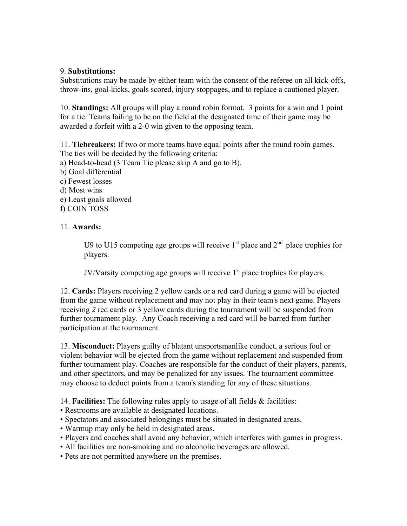#### 9. **Substitutions:**

Substitutions may be made by either team with the consent of the referee on all kick-offs, throw-ins, goal-kicks, goals scored, injury stoppages, and to replace a cautioned player.

10. **Standings:** All groups will play a round robin format. 3 points for a win and 1 point for a tie. Teams failing to be on the field at the designated time of their game may be awarded a forfeit with a 2-0 win given to the opposing team.

11. **Tiebreakers:** If two or more teams have equal points after the round robin games. The ties will be decided by the following criteria:

- a) Head-to-head (3 Team Tie please skip A and go to B).
- b) Goal differential
- c) Fewest losses
- d) Most wins
- e) Least goals allowed
- f) COIN TOSS

#### 11. **Awards:**

U9 to U15 competing age groups will receive  $1<sup>st</sup>$  place and  $2<sup>nd</sup>$  place trophies for players.

JV/Varsity competing age groups will receive  $1<sup>st</sup>$  place trophies for players.

12. **Cards:** Players receiving 2 yellow cards or a red card during a game will be ejected from the game without replacement and may not play in their team's next game. Players receiving *2* red cards or 3 yellow cards during the tournament will be suspended from further tournament play. Any Coach receiving a red card will be barred from further participation at the tournament.

13. **Misconduct:** Players guilty of blatant unsportsmanlike conduct, a serious foul or violent behavior will be ejected from the game without replacement and suspended from further tournament play. Coaches are responsible for the conduct of their players, parents, and other spectators, and may be penalized for any issues. The tournament committee may choose to deduct points from a team's standing for any of these situations.

14. **Facilities:** The following rules apply to usage of all fields & facilities:

- Restrooms are available at designated locations.
- Spectators and associated belongings must be situated in designated areas.
- Warmup may only be held in designated areas.
- Players and coaches shall avoid any behavior, which interferes with games in progress.
- All facilities are non-smoking and no alcoholic beverages are allowed.
- Pets are not permitted anywhere on the premises.